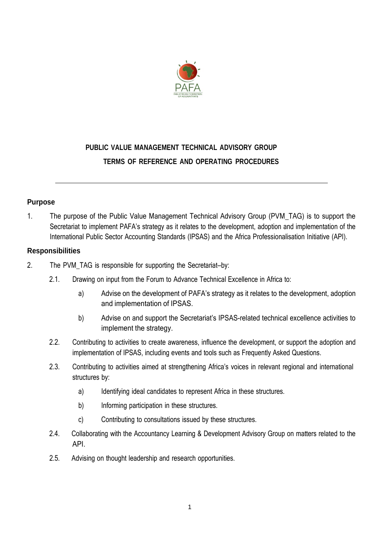

# **PUBLIC VALUE MANAGEMENT TECHNICAL ADVISORY GROUP TERMS OF REFERENCE AND OPERATING PROCEDURES**

## **Purpose**

1. The purpose of the Public Value Management Technical Advisory Group (PVM\_TAG) is to support the Secretariat to implement PAFA's strategy as it relates to the development, adoption and implementation of the International Public Sector Accounting Standards (IPSAS) and the Africa Professionalisation Initiative (API).

## **Responsibilities**

- 2. The PVM TAG is responsible for supporting the Secretariat-by:
	- 2.1. Drawing on input from the Forum to Advance Technical Excellence in Africa to:
		- a) Advise on the development of PAFA's strategy as it relates to the development, adoption and implementation of IPSAS.
		- b) Advise on and support the Secretariat's IPSAS-related technical excellence activities to implement the strategy.
	- 2.2. Contributing to activities to create awareness, influence the development, or support the adoption and implementation of IPSAS, including events and tools such as Frequently Asked Questions.
	- 2.3. Contributing to activities aimed at strengthening Africa's voices in relevant regional and international structures by:
		- a) Identifying ideal candidates to represent Africa in these structures.
		- b) Informing participation in these structures.
		- c) Contributing to consultations issued by these structures.
	- 2.4. Collaborating with the Accountancy Learning & Development Advisory Group on matters related to the API.
	- 2.5. Advising on thought leadership and research opportunities.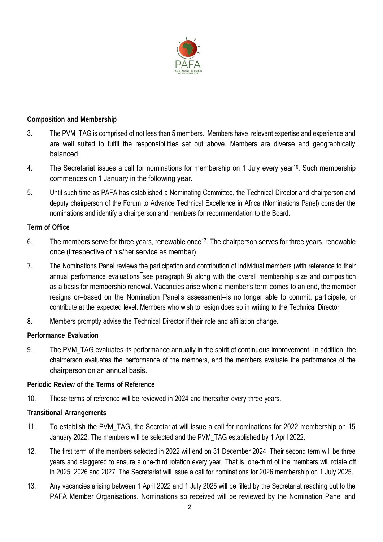

## **Composition and Membership**

- 3. The PVM\_TAG is comprised of not less than 5 members. Members have relevant expertise and experience and are well suited to fulfil the responsibilities set out above. Members are diverse and geographically balanced.
- 4. The Secretariat issues a call for nominations for membership on 1 July every year<sup>16</sup>. Such membership commences on 1 January in the following year.
- 5. Until such time as PAFA has established a Nominating Committee, the Technical Director and chairperson and deputy chairperson of the Forum to Advance Technical Excellence in Africa (Nominations Panel) consider the nominations and identify a chairperson and members for recommendation to the Board.

#### **Term of Office**

- 6. The members serve for three years, renewable once<sup>17</sup>. The chairperson serves for three years, renewable once (irrespective of his/her service as member).
- 7. The Nominations Panel reviews the participation and contribution of individual members (with reference to their annual performance evaluations see paragraph 9) along with the overall membership size and composition as a basis for membership renewal. Vacancies arise when a member's term comes to an end, the member resigns or—based on the Nomination Panel's assessment—is no longer able to commit, participate, or contribute at the expected level. Members who wish to resign does so in writing to the Technical Director.
- 8. Members promptly advise the Technical Director if their role and affiliation change.

## **Performance Evaluation**

9. The PVM TAG evaluates its performance annually in the spirit of continuous improvement. In addition, the chairperson evaluates the performance of the members, and the members evaluate the performance of the chairperson on an annual basis.

#### **Periodic Review of the Terms of Reference**

10. These terms of reference will be reviewed in 2024 and thereafter every three years.

#### **Transitional Arrangements**

- 11. To establish the PVM\_TAG, the Secretariat will issue a call for nominations for 2022 membership on 15 January 2022. The members will be selected and the PVM\_TAG established by 1 April 2022.
- 12. The first term of the members selected in 2022 will end on 31 December 2024. Their second term will be three years and staggered to ensure a one-third rotation every year. That is, one-third of the members will rotate off in 2025, 2026 and 2027. The Secretariat will issue a call for nominations for 2026 membership on 1 July 2025.
- 13. Any vacancies arising between 1 April 2022 and 1 July 2025 will be filled by the Secretariat reaching out to the PAFA Member Organisations. Nominations so received will be reviewed by the Nomination Panel and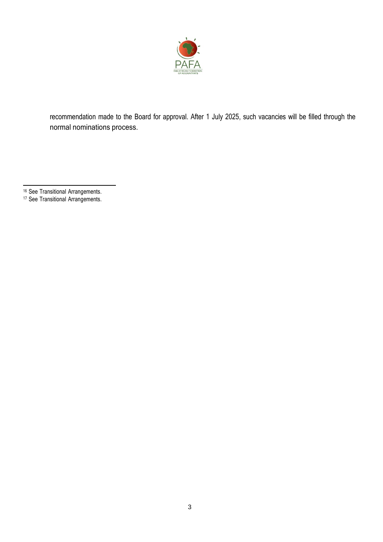

recommendation made to the Board for approval. After 1 July 2025, such vacancies will be filled through the normal nominations process.

- <sup>16</sup> See Transitional Arrangements.
- <sup>17</sup> See Transitional Arrangements.